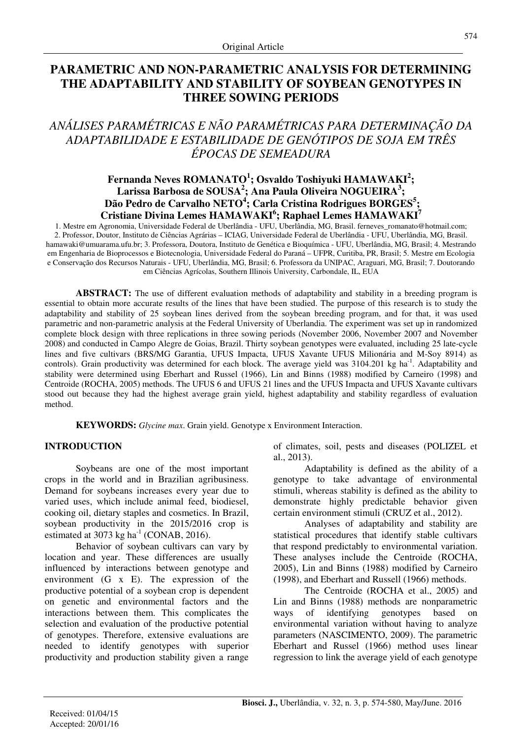## **PARAMETRIC AND NON-PARAMETRIC ANALYSIS FOR DETERMINING THE ADAPTABILITY AND STABILITY OF SOYBEAN GENOTYPES IN THREE SOWING PERIODS**

## *ANÁLISES PARAMÉTRICAS E NÃO PARAMÉTRICAS PARA DETERMINAÇÃO DA ADAPTABILIDADE E ESTABILIDADE DE GENÓTIPOS DE SOJA EM TRÊS ÉPOCAS DE SEMEADURA*

### **Fernanda Neves ROMANATO<sup>1</sup> ; Osvaldo Toshiyuki HAMAWAKI<sup>2</sup> ; Larissa Barbosa de SOUSA<sup>2</sup> ; Ana Paula Oliveira NOGUEIRA<sup>3</sup> ; Dão Pedro de Carvalho NETO<sup>4</sup> ; Carla Cristina Rodrigues BORGES<sup>5</sup> ; Cristiane Divina Lemes HAMAWAKI<sup>6</sup> ; Raphael Lemes HAMAWAKI<sup>7</sup>**

1. Mestre em Agronomia, Universidade Federal de Uberlândia - UFU, Uberlândia, MG, Brasil. ferneves\_romanato@hotmail.com; 2. Professor, Doutor, Instituto de Ciências Agrárias – ICIAG, Universidade Federal de Uberlândia - UFU, Uberlândia, MG, Brasil. hamawaki@umuarama.ufu.br; 3. Professora, Doutora, Instituto de Genética e Bioquímica - UFU, Uberlândia, MG, Brasil; 4. Mestrando em Engenharia de Bioprocessos e Biotecnologia, Universidade Federal do Paraná – UFPR, Curitiba, PR, Brasil; 5. Mestre em Ecologia e Conservação dos Recursos Naturais - UFU, Uberlândia, MG, Brasil; 6. Professora da UNIPAC, Araguari, MG, Brasil; 7. Doutorando em Ciências Agrícolas, Southern Illinois University, Carbondale, IL, EUA

**ABSTRACT:** The use of different evaluation methods of adaptability and stability in a breeding program is essential to obtain more accurate results of the lines that have been studied. The purpose of this research is to study the adaptability and stability of 25 soybean lines derived from the soybean breeding program, and for that, it was used parametric and non-parametric analysis at the Federal University of Uberlandia. The experiment was set up in randomized complete block design with three replications in three sowing periods (November 2006, November 2007 and November 2008) and conducted in Campo Alegre de Goias, Brazil. Thirty soybean genotypes were evaluated, including 25 late-cycle lines and five cultivars (BRS/MG Garantia, UFUS Impacta, UFUS Xavante UFUS Milionária and M-Soy 8914) as controls). Grain productivity was determined for each block. The average yield was  $3104.201$  kg ha<sup>-1</sup>. Adaptability and stability were determined using Eberhart and Russel (1966), Lin and Binns (1988) modified by Carneiro (1998) and Centroide (ROCHA, 2005) methods. The UFUS 6 and UFUS 21 lines and the UFUS Impacta and UFUS Xavante cultivars stood out because they had the highest average grain yield, highest adaptability and stability regardless of evaluation method.

**KEYWORDS:** *Glycine max*. Grain yield. Genotype x Environment Interaction.

#### **INTRODUCTION**

Soybeans are one of the most important crops in the world and in Brazilian agribusiness. Demand for soybeans increases every year due to varied uses, which include animal feed, biodiesel, cooking oil, dietary staples and cosmetics. In Brazil, soybean productivity in the 2015/2016 crop is estimated at 3073 kg ha<sup>-1</sup> (CONAB, 2016).

Behavior of soybean cultivars can vary by location and year. These differences are usually influenced by interactions between genotype and environment (G x E). The expression of the productive potential of a soybean crop is dependent on genetic and environmental factors and the interactions between them. This complicates the selection and evaluation of the productive potential of genotypes. Therefore, extensive evaluations are needed to identify genotypes with superior productivity and production stability given a range of climates, soil, pests and diseases (POLIZEL et al., 2013).

Adaptability is defined as the ability of a genotype to take advantage of environmental stimuli, whereas stability is defined as the ability to demonstrate highly predictable behavior given certain environment stimuli (CRUZ et al., 2012).

Analyses of adaptability and stability are statistical procedures that identify stable cultivars that respond predictably to environmental variation. These analyses include the Centroide (ROCHA, 2005), Lin and Binns (1988) modified by Carneiro (1998), and Eberhart and Russell (1966) methods.

The Centroide (ROCHA et al., 2005) and Lin and Binns (1988) methods are nonparametric ways of identifying genotypes based environmental variation without having to analyze parameters (NASCIMENTO, 2009). The parametric Eberhart and Russel (1966) method uses linear regression to link the average yield of each genotype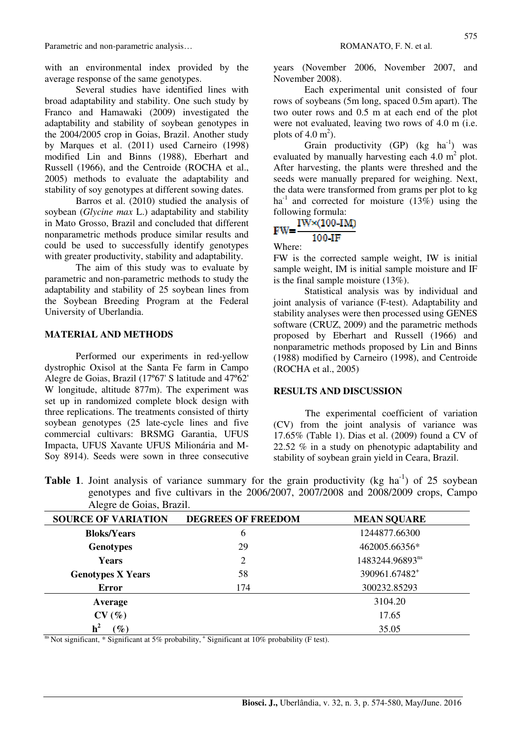with an environmental index provided by the average response of the same genotypes.

Several studies have identified lines with broad adaptability and stability. One such study by Franco and Hamawaki (2009) investigated the adaptability and stability of soybean genotypes in the 2004/2005 crop in Goias, Brazil. Another study by Marques et al. (2011) used Carneiro (1998) modified Lin and Binns (1988), Eberhart and Russell (1966), and the Centroide (ROCHA et al., 2005) methods to evaluate the adaptability and stability of soy genotypes at different sowing dates.

Barros et al. (2010) studied the analysis of soybean (*Glycine max* L.) adaptability and stability in Mato Grosso, Brazil and concluded that different nonparametric methods produce similar results and could be used to successfully identify genotypes with greater productivity, stability and adaptability.

The aim of this study was to evaluate by parametric and non-parametric methods to study the adaptability and stability of 25 soybean lines from the Soybean Breeding Program at the Federal University of Uberlandia.

#### **MATERIAL AND METHODS**

Performed our experiments in red-yellow dystrophic Oxisol at the Santa Fe farm in Campo Alegre de Goias, Brazil (17º67' S latitude and 47º62' W longitude, altitude 877m). The experiment was set up in randomized complete block design with three replications. The treatments consisted of thirty soybean genotypes (25 late-cycle lines and five commercial cultivars: BRSMG Garantia, UFUS Impacta, UFUS Xavante UFUS Milionária and M-Soy 8914). Seeds were sown in three consecutive years (November 2006, November 2007, and November 2008).

 Each experimental unit consisted of four rows of soybeans (5m long, spaced 0.5m apart). The two outer rows and 0.5 m at each end of the plot were not evaluated, leaving two rows of 4.0 m (i.e. plots of  $4.0 \text{ m}^2$ ).

Grain productivity  $(GP)$  (kg ha<sup>-1</sup>) was evaluated by manually harvesting each  $4.0 \text{ m}^2$  plot. After harvesting, the plants were threshed and the seeds were manually prepared for weighing. Next, the data were transformed from grams per plot to kg ha<sup>-1</sup> and corrected for moisture  $(13\%)$  using the

# following formula:<br> $FW = \frac{IW \times (100-IM)}{}$ 100-TF

#### Where:

FW is the corrected sample weight, IW is initial sample weight, IM is initial sample moisture and IF is the final sample moisture (13%).

Statistical analysis was by individual and joint analysis of variance (F-test). Adaptability and stability analyses were then processed using GENES software (CRUZ, 2009) and the parametric methods proposed by Eberhart and Russell (1966) and nonparametric methods proposed by Lin and Binns (1988) modified by Carneiro (1998), and Centroide (ROCHA et al., 2005)

#### **RESULTS AND DISCUSSION**

The experimental coefficient of variation (CV) from the joint analysis of variance was 17.65% (Table 1). Dias et al. (2009) found a CV of 22.52 % in a study on phenotypic adaptability and stability of soybean grain yield in Ceara, Brazil.

| <b>Table 1.</b> Joint analysis of variance summary for the grain productivity (kg ha <sup>-1</sup> ) of 25 soybean |
|--------------------------------------------------------------------------------------------------------------------|
| genotypes and five cultivars in the $2006/2007$ , $2007/2008$ and $2008/2009$ crops, Campo                         |
| Alegre de Goias, Brazil.                                                                                           |

| <b>SOURCE OF VARIATION</b> | <b>DEGREES OF FREEDOM</b> | <b>MEAN SQUARE</b>        |
|----------------------------|---------------------------|---------------------------|
| <b>Bloks/Years</b>         | 6                         | 1244877.66300             |
| <b>Genotypes</b>           | 29                        | 462005.66356*             |
| <b>Years</b>               | 2                         | 1483244.96893ns           |
| <b>Genotypes X Years</b>   | 58                        | 390961.67482 <sup>+</sup> |
| <b>Error</b>               | 174                       | 300232.85293              |
| Average                    |                           | 3104.20                   |
| CV(%)                      |                           | 17.65                     |
| $\left(\%\right)$          |                           | 35.05                     |

<sup>ns</sup> Not significant,  $*$  Significant at 5% probability,  $*$  Significant at 10% probability (F test).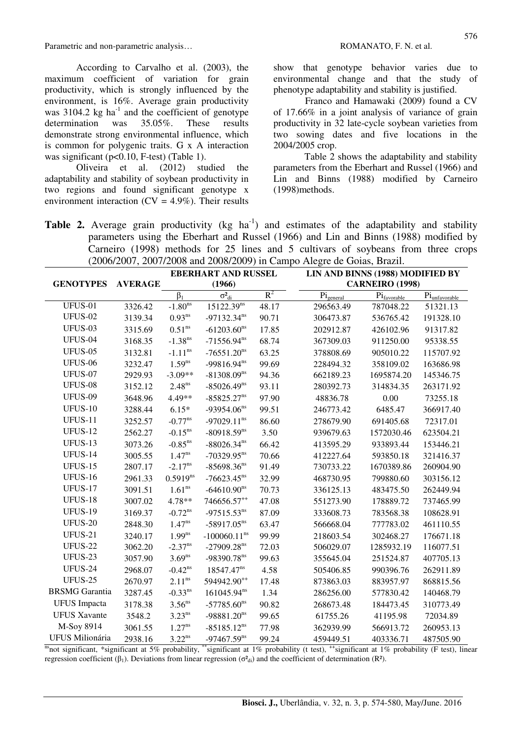According to Carvalho et al. (2003), the maximum coefficient of variation for grain productivity, which is strongly influenced by the environment, is 16%. Average grain productivity was  $3104.2$  kg ha<sup>-1</sup> and the coefficient of genotype determination was 35.05%. These results demonstrate strong environmental influence, which is common for polygenic traits. G x A interaction was significant (p<0.10, F-test) (Table 1).

Oliveira et al. (2012) studied the adaptability and stability of soybean productivity in two regions and found significant genotype x environment interaction ( $CV = 4.9\%$ ). Their results

show that genotype behavior varies due to environmental change and that the study of phenotype adaptability and stability is justified.

Franco and Hamawaki (2009) found a CV of 17.66% in a joint analysis of variance of grain productivity in 32 late-cycle soybean varieties from two sowing dates and five locations in the 2004/2005 crop.

Table 2 shows the adaptability and stability parameters from the Eberhart and Russel (1966) and Lin and Binns (1988) modified by Carneiro (1998)methods.

**Table 2.** Average grain productivity (kg ha<sup>-1</sup>) and estimates of the adaptability and stability parameters using the Eberhart and Russel (1966) and Lin and Binns (1988) modified by Carneiro (1998) methods for 25 lines and 5 cultivars of soybeans from three crops (2006/2007, 2007/2008 and 2008/2009) in Campo Alegre de Goias, Brazil.

|                        |                | <b>EBERHART AND RUSSEL</b> |                         | LIN AND BINNS (1988) MODIFIED BY |                       |                                  |                                    |  |
|------------------------|----------------|----------------------------|-------------------------|----------------------------------|-----------------------|----------------------------------|------------------------------------|--|
| <b>GENOTYPES</b>       | <b>AVERAGE</b> |                            | (1966)                  |                                  |                       | <b>CARNEIRO</b> (1998)           |                                    |  |
|                        |                | $\beta_1$                  | $\sigma^2_{di}$         | $R^2$                            | $Pi_{\text{general}}$ | $\mathrm{Pi}_{\text{favorable}}$ | $\mathrm{Pi}_{\text{unfavorable}}$ |  |
| UFUS-01                | 3326.42        | $-1.80^{\overline{ns}}$    | 15122.39 <sup>ns</sup>  | 48.17                            | 296563.49             | 787048.22                        | 51321.13                           |  |
| <b>UFUS-02</b>         | 3139.34        | $0.93$ <sup>ns</sup>       | $-97132.34^{ns}$        | 90.71                            | 306473.87             | 536765.42                        | 191328.10                          |  |
| UFUS-03                | 3315.69        | 0.51 <sup>ns</sup>         | $-61203.60^{ns}$        | 17.85                            | 202912.87             | 426102.96                        | 91317.82                           |  |
| UFUS-04                | 3168.35        | $-1.38$ <sup>ns</sup>      | $-71556.94^{ns}$        | 68.74                            | 367309.03             | 911250.00                        | 95338.55                           |  |
| <b>UFUS-05</b>         | 3132.81        | $\text{-}1.11^{\text{ns}}$ | $-76551.20^{ns}$        | 63.25                            | 378808.69             | 905010.22                        | 115707.92                          |  |
| <b>UFUS-06</b>         | 3232.47        | $1.59^{ns}$                | $-99816.94^{ns}$        | 99.69                            | 228494.32             | 358109.02                        | 163686.98                          |  |
| <b>UFUS-07</b>         | 2929.93        | $-3.09**$                  | $-81308.09^{ns}$        | 94.36                            | 662189.23             | 1695874.20                       | 145346.75                          |  |
| UFUS-08                | 3152.12        | $2.48^{ns}$                | $-85026.49^{ns}$        | 93.11                            | 280392.73             | 314834.35                        | 263171.92                          |  |
| UFUS-09                | 3648.96        | 4.49**                     | $-85825.27^{ns}$        | 97.90                            | 48836.78              | 0.00                             | 73255.18                           |  |
| <b>UFUS-10</b>         | 3288.44        | $6.15*$                    | $-93954.06^{ns}$        | 99.51                            | 246773.42             | 6485.47                          | 366917.40                          |  |
| <b>UFUS-11</b>         | 3252.57        | $-0.77^{ns}$               | $-97029.11^{ns}$        | 86.60                            | 278679.90             | 691405.68                        | 72317.01                           |  |
| <b>UFUS-12</b>         | 2562.27        | $-0.15^{ns}$               | $-80918.59^{ns}$        | 3.50                             | 939679.63             | 1572030.46                       | 623504.21                          |  |
| UFUS-13                | 3073.26        | $-0.85$ <sup>ns</sup>      | $-88026.34^{ns}$        | 66.42                            | 413595.29             | 933893.44                        | 153446.21                          |  |
| UFUS-14                | 3005.55        | $1.47^{ns}$                | $-70329.95^{ns}$        | 70.66                            | 412227.64             | 593850.18                        | 321416.37                          |  |
| <b>UFUS-15</b>         | 2807.17        | $-2.17^{ns}$               | $-85698.36^{ns}$        | 91.49                            | 730733.22             | 1670389.86                       | 260904.90                          |  |
| <b>UFUS-16</b>         | 2961.33        | $0.5919^{ns}$              | $-76623.45^{ns}$        | 32.99                            | 468730.95             | 799880.60                        | 303156.12                          |  |
| UFUS-17                | 3091.51        | $1.61^{\rm ns}$            | $-64610.90^{ns}$        | 70.73                            | 336125.13             | 483475.50                        | 262449.94                          |  |
| <b>UFUS-18</b>         | 3007.02        | 4.78**                     | 746656.57 <sup>++</sup> | 47.08                            | 551273.90             | 178889.72                        | 737465.99                          |  |
| <b>UFUS-19</b>         | 3169.37        | $-0.72$ <sup>ns</sup>      | $-97515.53^{ns}$        | 87.09                            | 333608.73             | 783568.38                        | 108628.91                          |  |
| <b>UFUS-20</b>         | 2848.30        | $1.47^{ns}$                | $-58917.05^{ns}$        | 63.47                            | 566668.04             | 777783.02                        | 461110.55                          |  |
| <b>UFUS-21</b>         | 3240.17        | $1.99$ <sup>ns</sup>       | $-100060.11^{ns}$       | 99.99                            | 218603.54             | 302468.27                        | 176671.18                          |  |
| <b>UFUS-22</b>         | 3062.20        | $-2.37$ <sup>ns</sup>      | $-27909.28^{ns}$        | 72.03                            | 506029.07             | 1285932.19                       | 116077.51                          |  |
| UFUS-23                | 3057.90        | 3.69 <sup>ns</sup>         | $-98390.78^{ns}$        | 99.63                            | 355645.04             | 251524.87                        | 407705.13                          |  |
| UFUS-24                | 2968.07        | $-0.42$ <sup>ns</sup>      | 18547.47 <sup>ns</sup>  | 4.58                             | 505406.85             | 990396.76                        | 262911.89                          |  |
| <b>UFUS-25</b>         | 2670.97        | $2.11^{ns}$                | 594942.90**             | 17.48                            | 873863.03             | 883957.97                        | 868815.56                          |  |
| <b>BRSMG</b> Garantia  | 3287.45        | $-0.33$ <sup>ns</sup>      | 161045.94 <sup>ns</sup> | 1.34                             | 286256.00             | 577830.42                        | 140468.79                          |  |
| <b>UFUS</b> Impacta    | 3178.38        | $3.56$ <sup>ns</sup>       | $-57785.60^{ns}$        | 90.82                            | 268673.48             | 184473.45                        | 310773.49                          |  |
| <b>UFUS Xavante</b>    | 3548.2         | $3.23^{ns}$                | $-98881.20^{ns}$        | 99.65                            | 61755.26              | 41195.98                         | 72034.89                           |  |
| M-Soy 8914             | 3061.55        | $1.27^{ns}$                | $-85185.12^{ns}$        | 77.98                            | 362939.99             | 566913.72                        | 260953.13                          |  |
| <b>UFUS Milionária</b> | 2938.16        | $3.22^{ns}$                | $-97467.59^{ns}$        | 99.24                            | 459449.51             | 403336.71                        | 487505.90                          |  |

<sup>ns</sup>not significant, \*significant at 5% probability, \*\*significant at 1% probability (t test), \*\*significant at 1% probability (F test), linear regression coefficient ( $\beta_1$ ). Deviations from linear regression ( $\sigma^2_{di}$ ) and the coefficient of determination (R<sup>2</sup>).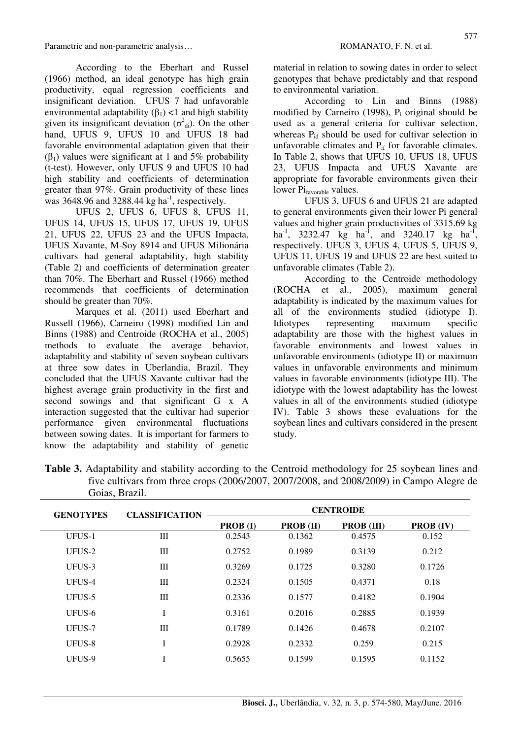According to the Eberhart and Russel (1966) method, an ideal genotype has high grain productivity, equal regression coefficients and insignificant deviation. UFUS 7 had unfavorable environmental adaptability  $(\beta_1)$  <1 and high stability given its insignificant deviation  $(\sigma^2_{di})$ . On the other hand, UFUS 9, UFUS 10 and UFUS 18 had favorable environmental adaptation given that their (β<sub>1</sub>) values were significant at 1 and 5% probability (t-test). However, only UFUS 9 and UFUS 10 had high stability and coefficients of determination greater than 97%. Grain productivity of these lines was  $3648.96$  and  $3288.44$  kg ha<sup>-1</sup>, respectively.

UFUS 2, UFUS 6, UFUS 8, UFUS 11, UFUS 14, UFUS 15, UFUS 17, UFUS 19, UFUS 21, UFUS 22, UFUS 23 and the UFUS Impacta, UFUS Xavante, M-Soy 8914 and UFUS Milionária cultivars had general adaptability, high stability (Table 2) and coefficients of determination greater than 70%. The Eberhart and Russel (1966) method recommends that coefficients of determination should be greater than 70%.

Marques et al. (2011) used Eberhart and Russell (1966), Carneiro (1998) modified Lin and Binns (1988) and Centroide (ROCHA et al., 2005) methods to evaluate the average behavior, adaptability and stability of seven soybean cultivars at three sow dates in Uberlandia, Brazil. They concluded that the UFUS Xavante cultivar had the highest average grain productivity in the first and second sowings and that significant G x A interaction suggested that the cultivar had superior performance given environmental fluctuations between sowing dates. It is important for farmers to know the adaptability and stability of genetic material in relation to sowing dates in order to select genotypes that behave predictably and that respond to environmental variation.

According to Lin and Binns (1988) modified by Carneiro (1998),  $P_i$  original should be used as a general criteria for cultivar selection, whereas  $P_{id}$  should be used for cultivar selection in unfavorable climates and  $P_{if}$  for favorable climates. In Table 2, shows that UFUS 10, UFUS 18, UFUS 23, UFUS Impacta and UFUS Xavante are appropriate for favorable environments given their lower Pi<sub>favorable</sub> values.

UFUS 3, UFUS 6 and UFUS 21 are adapted to general environments given their lower Pi general values and higher grain productivities of 3315.69 kg ha<sup>-1</sup>, 3232.47 kg ha<sup>-1</sup>, and 3240.17 kg ha<sup>-1</sup>, respectively. UFUS 3, UFUS 4, UFUS 5, UFUS 9, UFUS 11, UFUS 19 and UFUS 22 are best suited to unfavorable climates (Table 2).

According to the Centroide methodology (ROCHA et al., 2005), maximum general adaptability is indicated by the maximum values for all of the environments studied (idiotype I). Idiotypes representing maximum specific adaptability are those with the highest values in favorable environments and lowest values in unfavorable environments (idiotype II) or maximum values in unfavorable environments and minimum values in favorable environments (idiotype III). The idiotype with the lowest adaptability has the lowest values in all of the environments studied (idiotype IV). Table 3 shows these evaluations for the soybean lines and cultivars considered in the present study.

| <b>GENOTYPES</b> | <b>CLASSIFICATION</b> | <b>CENTROIDE</b> |                  |                   |                  |  |
|------------------|-----------------------|------------------|------------------|-------------------|------------------|--|
|                  |                       | <b>PROB</b> (I)  | <b>PROB</b> (II) | <b>PROB</b> (III) | <b>PROB</b> (IV) |  |
| UFUS-1           | III                   | 0.2543           | 0.1362           | 0.4575            | 0.152            |  |
| UFUS-2           | Ш                     | 0.2752           | 0.1989           | 0.3139            | 0.212            |  |
| UFUS-3           | III                   | 0.3269           | 0.1725           | 0.3280            | 0.1726           |  |
| UFUS-4           | Ш                     | 0.2324           | 0.1505           | 0.4371            | 0.18             |  |
| UFUS-5           | III                   | 0.2336           | 0.1577           | 0.4182            | 0.1904           |  |
| UFUS-6           |                       | 0.3161           | 0.2016           | 0.2885            | 0.1939           |  |
| UFUS-7           | Ш                     | 0.1789           | 0.1426           | 0.4678            | 0.2107           |  |
| UFUS-8           | Ī                     | 0.2928           | 0.2332           | 0.259             | 0.215            |  |
| UFUS-9           |                       | 0.5655           | 0.1599           | 0.1595            | 0.1152           |  |

**Table 3.** Adaptability and stability according to the Centroid methodology for 25 soybean lines and five cultivars from three crops (2006/2007, 2007/2008, and 2008/2009) in Campo Alegre de Goias, Brazil.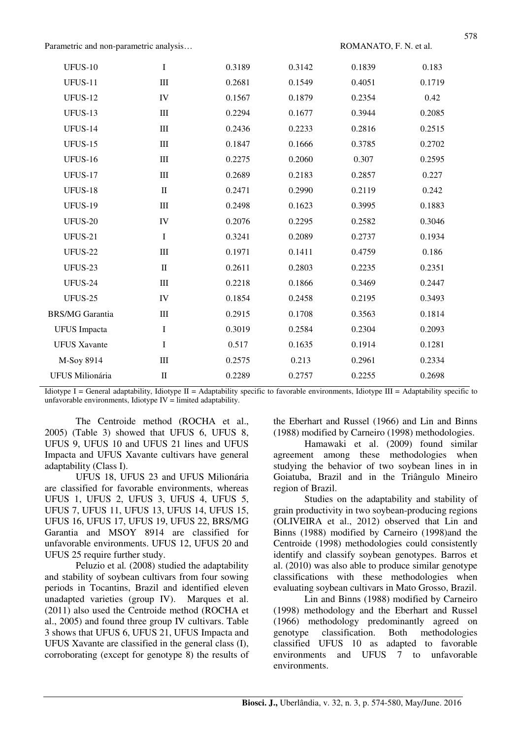| <b>UFUS-10</b><br>$\bf{I}$<br>0.3189<br>0.3142<br>0.1839<br>0.183<br>III<br>0.2681<br>0.1549<br>0.4051<br>0.1719<br><b>UFUS-11</b><br><b>UFUS-12</b><br>IV<br>0.1567<br>0.1879<br>0.2354<br>0.42<br>UFUS-13<br>0.2294<br>0.3944<br>0.2085<br>III<br>0.1677<br>UFUS-14<br>$\rm III$<br>0.2436<br>0.2233<br>0.2816<br>0.2515<br><b>UFUS-15</b><br>$\rm III$<br>0.1847<br>0.1666<br>0.3785<br>0.2702<br>III<br>0.2275<br>0.2060<br>0.307<br><b>UFUS-16</b><br>0.2595<br>UFUS-17<br>III<br>0.2689<br>0.2857<br>0.227<br>0.2183<br>$\rm II$<br>0.2471<br>0.242<br>UFUS-18<br>0.2990<br>0.2119<br><b>UFUS-19</b><br>$\rm III$<br>0.2498<br>0.1623<br>0.3995<br>0.1883<br>IV<br>0.3046<br><b>UFUS-20</b><br>0.2076<br>0.2295<br>0.2582<br><b>UFUS-21</b><br>I<br>0.3241<br>0.2089<br>0.1934<br>0.2737<br><b>UFUS-22</b><br>III<br>0.1971<br>0.1411<br>0.4759<br>0.186<br>UFUS-23<br>$\rm II$<br>0.2611<br>0.2803<br>0.2351<br>0.2235<br>$\rm III$<br>0.2218<br>0.1866<br>UFUS-24<br>0.3469<br>0.2447<br>UFUS-25<br>IV<br>0.1854<br>0.2458<br>0.2195<br>0.3493<br>III<br>0.2915<br>0.1708<br>0.3563<br>0.1814<br>I<br>0.3019<br>0.2584<br>0.2304<br>0.2093<br><b>UFUS</b> Impacta<br>I<br>0.517<br>0.1635<br>0.1914<br>0.1281<br><b>UFUS Xavante</b><br>0.213<br>M-Soy 8914<br>$\rm III$<br>0.2575<br>0.2961<br>0.2334<br>$\mathbf H$<br>0.2289<br>0.2757<br>0.2255<br>0.2698<br>UFUS Milionária |                        |  |  |  |
|------------------------------------------------------------------------------------------------------------------------------------------------------------------------------------------------------------------------------------------------------------------------------------------------------------------------------------------------------------------------------------------------------------------------------------------------------------------------------------------------------------------------------------------------------------------------------------------------------------------------------------------------------------------------------------------------------------------------------------------------------------------------------------------------------------------------------------------------------------------------------------------------------------------------------------------------------------------------------------------------------------------------------------------------------------------------------------------------------------------------------------------------------------------------------------------------------------------------------------------------------------------------------------------------------------------------------------------------------------------------------------------|------------------------|--|--|--|
|                                                                                                                                                                                                                                                                                                                                                                                                                                                                                                                                                                                                                                                                                                                                                                                                                                                                                                                                                                                                                                                                                                                                                                                                                                                                                                                                                                                          |                        |  |  |  |
|                                                                                                                                                                                                                                                                                                                                                                                                                                                                                                                                                                                                                                                                                                                                                                                                                                                                                                                                                                                                                                                                                                                                                                                                                                                                                                                                                                                          |                        |  |  |  |
|                                                                                                                                                                                                                                                                                                                                                                                                                                                                                                                                                                                                                                                                                                                                                                                                                                                                                                                                                                                                                                                                                                                                                                                                                                                                                                                                                                                          |                        |  |  |  |
|                                                                                                                                                                                                                                                                                                                                                                                                                                                                                                                                                                                                                                                                                                                                                                                                                                                                                                                                                                                                                                                                                                                                                                                                                                                                                                                                                                                          |                        |  |  |  |
|                                                                                                                                                                                                                                                                                                                                                                                                                                                                                                                                                                                                                                                                                                                                                                                                                                                                                                                                                                                                                                                                                                                                                                                                                                                                                                                                                                                          |                        |  |  |  |
|                                                                                                                                                                                                                                                                                                                                                                                                                                                                                                                                                                                                                                                                                                                                                                                                                                                                                                                                                                                                                                                                                                                                                                                                                                                                                                                                                                                          |                        |  |  |  |
|                                                                                                                                                                                                                                                                                                                                                                                                                                                                                                                                                                                                                                                                                                                                                                                                                                                                                                                                                                                                                                                                                                                                                                                                                                                                                                                                                                                          |                        |  |  |  |
|                                                                                                                                                                                                                                                                                                                                                                                                                                                                                                                                                                                                                                                                                                                                                                                                                                                                                                                                                                                                                                                                                                                                                                                                                                                                                                                                                                                          |                        |  |  |  |
|                                                                                                                                                                                                                                                                                                                                                                                                                                                                                                                                                                                                                                                                                                                                                                                                                                                                                                                                                                                                                                                                                                                                                                                                                                                                                                                                                                                          |                        |  |  |  |
|                                                                                                                                                                                                                                                                                                                                                                                                                                                                                                                                                                                                                                                                                                                                                                                                                                                                                                                                                                                                                                                                                                                                                                                                                                                                                                                                                                                          |                        |  |  |  |
|                                                                                                                                                                                                                                                                                                                                                                                                                                                                                                                                                                                                                                                                                                                                                                                                                                                                                                                                                                                                                                                                                                                                                                                                                                                                                                                                                                                          |                        |  |  |  |
|                                                                                                                                                                                                                                                                                                                                                                                                                                                                                                                                                                                                                                                                                                                                                                                                                                                                                                                                                                                                                                                                                                                                                                                                                                                                                                                                                                                          |                        |  |  |  |
|                                                                                                                                                                                                                                                                                                                                                                                                                                                                                                                                                                                                                                                                                                                                                                                                                                                                                                                                                                                                                                                                                                                                                                                                                                                                                                                                                                                          |                        |  |  |  |
|                                                                                                                                                                                                                                                                                                                                                                                                                                                                                                                                                                                                                                                                                                                                                                                                                                                                                                                                                                                                                                                                                                                                                                                                                                                                                                                                                                                          |                        |  |  |  |
|                                                                                                                                                                                                                                                                                                                                                                                                                                                                                                                                                                                                                                                                                                                                                                                                                                                                                                                                                                                                                                                                                                                                                                                                                                                                                                                                                                                          |                        |  |  |  |
|                                                                                                                                                                                                                                                                                                                                                                                                                                                                                                                                                                                                                                                                                                                                                                                                                                                                                                                                                                                                                                                                                                                                                                                                                                                                                                                                                                                          |                        |  |  |  |
|                                                                                                                                                                                                                                                                                                                                                                                                                                                                                                                                                                                                                                                                                                                                                                                                                                                                                                                                                                                                                                                                                                                                                                                                                                                                                                                                                                                          | <b>BRS/MG Garantia</b> |  |  |  |
|                                                                                                                                                                                                                                                                                                                                                                                                                                                                                                                                                                                                                                                                                                                                                                                                                                                                                                                                                                                                                                                                                                                                                                                                                                                                                                                                                                                          |                        |  |  |  |
|                                                                                                                                                                                                                                                                                                                                                                                                                                                                                                                                                                                                                                                                                                                                                                                                                                                                                                                                                                                                                                                                                                                                                                                                                                                                                                                                                                                          |                        |  |  |  |
|                                                                                                                                                                                                                                                                                                                                                                                                                                                                                                                                                                                                                                                                                                                                                                                                                                                                                                                                                                                                                                                                                                                                                                                                                                                                                                                                                                                          |                        |  |  |  |
|                                                                                                                                                                                                                                                                                                                                                                                                                                                                                                                                                                                                                                                                                                                                                                                                                                                                                                                                                                                                                                                                                                                                                                                                                                                                                                                                                                                          |                        |  |  |  |

Idiotype I = General adaptability, Idiotype II = Adaptability specific to favorable environments, Idiotype III = Adaptability specific to unfavorable environments, Idiotype  $IV =$  limited adaptability.

The Centroide method (ROCHA et al., 2005) (Table 3) showed that UFUS 6, UFUS 8, UFUS 9, UFUS 10 and UFUS 21 lines and UFUS Impacta and UFUS Xavante cultivars have general adaptability (Class I).

UFUS 18, UFUS 23 and UFUS Milionária are classified for favorable environments, whereas UFUS 1, UFUS 2, UFUS 3, UFUS 4, UFUS 5, UFUS 7, UFUS 11, UFUS 13, UFUS 14, UFUS 15, UFUS 16, UFUS 17, UFUS 19, UFUS 22, BRS/MG Garantia and MSOY 8914 are classified for unfavorable environments. UFUS 12, UFUS 20 and UFUS 25 require further study.

Peluzio et al*.* (2008) studied the adaptability and stability of soybean cultivars from four sowing periods in Tocantins, Brazil and identified eleven unadapted varieties (group IV). Marques et al. (2011) also used the Centroide method (ROCHA et al., 2005) and found three group IV cultivars. Table 3 shows that UFUS 6, UFUS 21, UFUS Impacta and UFUS Xavante are classified in the general class (I), corroborating (except for genotype 8) the results of the Eberhart and Russel (1966) and Lin and Binns (1988) modified by Carneiro (1998) methodologies.

Hamawaki et al. (2009) found similar agreement among these methodologies when studying the behavior of two soybean lines in in Goiatuba, Brazil and in the Triângulo Mineiro region of Brazil.

Studies on the adaptability and stability of grain productivity in two soybean-producing regions (OLIVEIRA et al., 2012) observed that Lin and Binns (1988) modified by Carneiro (1998)and the Centroide (1998) methodologies could consistently identify and classify soybean genotypes. Barros et al. (2010) was also able to produce similar genotype classifications with these methodologies when evaluating soybean cultivars in Mato Grosso, Brazil.

Lin and Binns (1988) modified by Carneiro (1998) methodology and the Eberhart and Russel (1966) methodology predominantly agreed on genotype classification. Both methodologies classified UFUS 10 as adapted to favorable environments and UFUS 7 to unfavorable environments.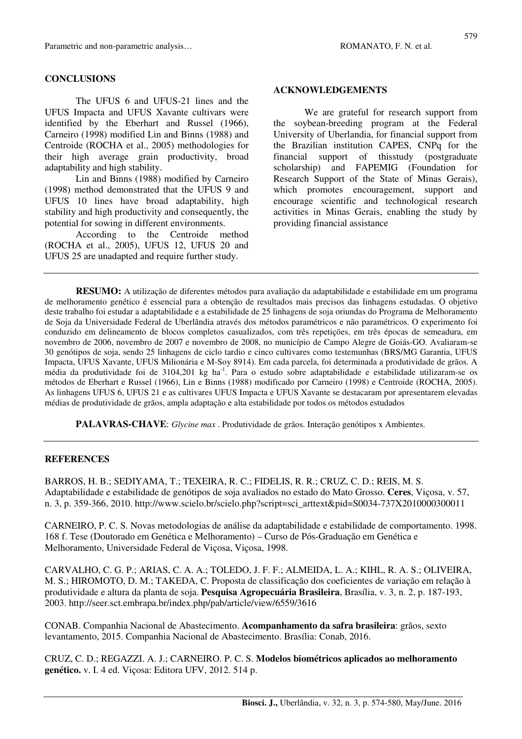#### **CONCLUSIONS**

The UFUS 6 and UFUS-21 lines and the UFUS Impacta and UFUS Xavante cultivars were identified by the Eberhart and Russel (1966), Carneiro (1998) modified Lin and Binns (1988) and Centroide (ROCHA et al., 2005) methodologies for their high average grain productivity, broad adaptability and high stability.

Lin and Binns (1988) modified by Carneiro (1998) method demonstrated that the UFUS 9 and UFUS 10 lines have broad adaptability, high stability and high productivity and consequently, the potential for sowing in different environments.

According to the Centroide method (ROCHA et al., 2005), UFUS 12, UFUS 20 and UFUS 25 are unadapted and require further study.

#### **ACKNOWLEDGEMENTS**

We are grateful for research support from the soybean-breeding program at the Federal University of Uberlandia, for financial support from the Brazilian institution CAPES, CNPq for the financial support of thisstudy (postgraduate scholarship) and FAPEMIG (Foundation for Research Support of the State of Minas Gerais), which promotes encouragement, support and encourage scientific and technological research activities in Minas Gerais, enabling the study by providing financial assistance

**RESUMO:** A utilização de diferentes métodos para avaliação da adaptabilidade e estabilidade em um programa de melhoramento genético é essencial para a obtenção de resultados mais precisos das linhagens estudadas. O objetivo deste trabalho foi estudar a adaptabilidade e a estabilidade de 25 linhagens de soja oriundas do Programa de Melhoramento de Soja da Universidade Federal de Uberlândia através dos métodos paramétricos e não paramétricos. O experimento foi conduzido em delineamento de blocos completos casualizados, com três repetições, em três épocas de semeadura, em novembro de 2006, novembro de 2007 e novembro de 2008, no município de Campo Alegre de Goiás-GO. Avaliaram-se 30 genótipos de soja, sendo 25 linhagens de ciclo tardio e cinco cultivares como testemunhas (BRS/MG Garantia, UFUS Impacta, UFUS Xavante, UFUS Milionária e M-Soy 8914). Em cada parcela, foi determinada a produtividade de grãos. A média da produtividade foi de 3104,201 kg ha<sup>-1</sup>. Para o estudo sobre adaptabilidade e estabilidade utilizaram-se os métodos de Eberhart e Russel (1966), Lin e Binns (1988) modificado por Carneiro (1998) e Centroide (ROCHA, 2005). As linhagens UFUS 6, UFUS 21 e as cultivares UFUS Impacta e UFUS Xavante se destacaram por apresentarem elevadas médias de produtividade de grãos, ampla adaptação e alta estabilidade por todos os métodos estudados

**PALAVRAS-CHAVE**: *Glycine max* . Produtividade de grãos. Interação genótipos x Ambientes.

#### **REFERENCES**

BARROS, H. B.; SEDIYAMA, T.; TEXEIRA, R. C.; FIDELIS, R. R.; CRUZ, C. D.; REIS, M. S. Adaptabilidade e estabilidade de genótipos de soja avaliados no estado do Mato Grosso. **Ceres**, Viçosa, v. 57, n. 3, p. 359-366, 2010. http://www.scielo.br/scielo.php?script=sci\_arttext&pid=S0034-737X2010000300011

CARNEIRO, P. C. S. Novas metodologias de análise da adaptabilidade e estabilidade de comportamento. 1998. 168 f. Tese (Doutorado em Genética e Melhoramento) – Curso de Pós-Graduação em Genética e Melhoramento, Universidade Federal de Viçosa, Viçosa, 1998.

CARVALHO, C. G. P.; ARIAS, C. A. A.; TOLEDO, J. F. F.; ALMEIDA, L. A.; KIHL, R. A. S.; OLIVEIRA, M. S.; HIROMOTO, D. M.; TAKEDA, C. Proposta de classificação dos coeficientes de variação em relação à produtividade e altura da planta de soja. **Pesquisa Agropecuária Brasileira**, Brasília, v. 3, n. 2, p. 187-193, 2003. http://seer.sct.embrapa.br/index.php/pab/article/view/6559/3616

CONAB. Companhia Nacional de Abastecimento. **Acompanhamento da safra brasileira**: grãos, sexto levantamento, 2015. Companhia Nacional de Abastecimento. Brasília: Conab, 2016.

CRUZ, C. D.; REGAZZI. A. J.; CARNEIRO. P. C. S. **Modelos biométricos aplicados ao melhoramento genético.** v. I. 4 ed. Viçosa: Editora UFV, 2012. 514 p.